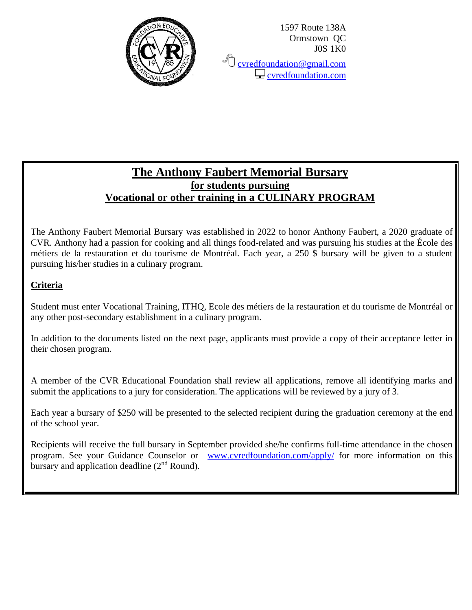

**C** [cvredfoundation@gmail.com](mailto:cvredfoundation@gmail.com)  $\Box$  cyredfoundation.com

# **The Anthony Faubert Memorial Bursary for students pursuing Vocational or other training in a CULINARY PROGRAM**

The Anthony Faubert Memorial Bursary was established in 2022 to honor Anthony Faubert, a 2020 graduate of CVR. Anthony had a passion for cooking and all things food-related and was pursuing his studies at the École des métiers de la restauration et du tourisme de Montréal. Each year, a 250 \$ bursary will be given to a student pursuing his/her studies in a culinary program.

### **Criteria**

Student must enter Vocational Training, ITHQ, Ecole des métiers de la restauration et du tourisme de Montréal or any other post-secondary establishment in a culinary program.

In addition to the documents listed on the next page, applicants must provide a copy of their acceptance letter in their chosen program.

A member of the CVR Educational Foundation shall review all applications, remove all identifying marks and submit the applications to a jury for consideration. The applications will be reviewed by a jury of 3.

Each year a bursary of \$250 will be presented to the selected recipient during the graduation ceremony at the end of the school year.

Recipients will receive the full bursary in September provided she/he confirms full-time attendance in the chosen program. See your Guidance Counselor or [www.cvredfoundation.com/apply/](http://www.cvredfoundation.com/apply/) for more information on this bursary and application deadline  $(2<sup>nd</sup>$  Round).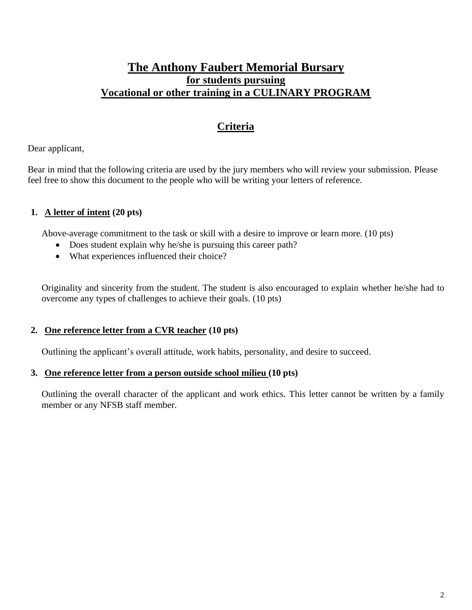## **The Anthony Faubert Memorial Bursary for students pursuing Vocational or other training in a CULINARY PROGRAM**

# **Criteria**

Dear applicant,

Bear in mind that the following criteria are used by the jury members who will review your submission. Please feel free to show this document to the people who will be writing your letters of reference.

### **1. A letter of intent (20 pts)**

Above-average commitment to the task or skill with a desire to improve or learn more. (10 pts)

- Does student explain why he/she is pursuing this career path?
- What experiences influenced their choice?

Originality and sincerity from the student. The student is also encouraged to explain whether he/she had to overcome any types of challenges to achieve their goals. (10 pts)

#### **2. One reference letter from a CVR teacher (10 pts)**

Outlining the applicant's overall attitude, work habits, personality, and desire to succeed.

#### **3. One reference letter from a person outside school milieu (10 pts)**

Outlining the overall character of the applicant and work ethics. This letter cannot be written by a family member or any NFSB staff member.